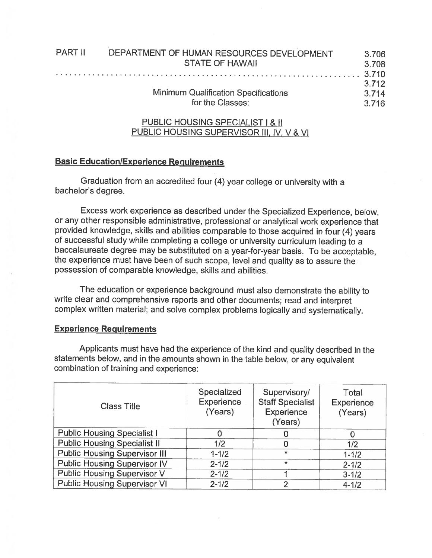| <b>PART II</b> | DEPARTMENT OF HUMAN RESOURCES DEVELOPMENT   | 3.706 |
|----------------|---------------------------------------------|-------|
|                | <b>STATE OF HAWAII</b>                      | 3.708 |
|                |                                             |       |
|                |                                             | 3.712 |
|                | <b>Minimum Qualification Specifications</b> | 3.714 |
|                | for the Classes:                            | 3.716 |
|                |                                             |       |

## PUBLIC HOUSING SPECIALIST I & II PUBLIC HOUSING SUPERVISOR III, IV, V & VI

## Basic Education/Experience Requirements

Graduation from an accredited four (4) year college or university with <sup>a</sup> bachelor's degree.

Excess work experience as described under the Specialized Experience, below, or any other responsible administrative, professional or analytical work experience that provided knowledge, skills and abilities comparable to those acquired in four (4) years of successful study while completing <sup>a</sup> college or university curriculum leading to <sup>a</sup> baccalaureate degree may be substituted on <sup>a</sup> year-for-year basis. To be acceptable, the experience must have been of such scope, level and quality as to assure the possession of comparable knowledge, skills and abilities.

The education or experience background must also demonstrate the ability to write clear and comprehensive reports and other documents; read and interpret complex written material; and solve complex problems logically and systematically.

## Experience Requirements

Applicants must have had the experience of the kind and quality described in the statements below, and in the amounts shown in the table below, or any equivalent combination of training and experience:

| <b>Class Title</b>                   | Specialized<br><b>Experience</b><br>(Years) | Supervisory/<br><b>Staff Specialist</b><br><b>Experience</b><br>(Years) | Total<br>Experience<br>(Years) |
|--------------------------------------|---------------------------------------------|-------------------------------------------------------------------------|--------------------------------|
| <b>Public Housing Specialist I</b>   |                                             |                                                                         |                                |
| <b>Public Housing Specialist II</b>  | 1/2                                         | 0                                                                       | 1/2                            |
| <b>Public Housing Supervisor III</b> | $1 - 1/2$                                   | $\star$                                                                 | $1 - 1/2$                      |
| <b>Public Housing Supervisor IV</b>  | $2 - 1/2$                                   | $\star$                                                                 | $2 - 1/2$                      |
| <b>Public Housing Supervisor V</b>   | $2 - 1/2$                                   |                                                                         | $3 - 1/2$                      |
| <b>Public Housing Supervisor VI</b>  | $2 - 1/2$                                   | $\overline{2}$                                                          | $4 - 1/2$                      |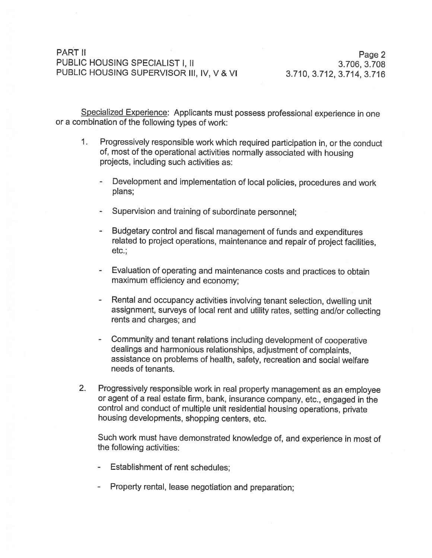## PART II<br>Page 2 PUBLIC HOUSING SPECIALIST I, II 3.706, 3.708 PUBLIC HOUSING SUPERVISOR III, IV, V & VI 3.710, 3.712, 3.714, 3.716

Specialized Experience: Applicants must possess professional experience in one or <sup>a</sup> combination of the following types of work:

- 1. Progressively responsible work which requited participation in, or the conduct of, most of the operational activities normally associated with housing projects, including such activities as:
	- Development and implementation of local policies, procedures and work plans;
	- Supervision and training of subordinate personnel:
	- Budgetary control and fiscal management of funds and expenditures related to project operations, maintenance and repair of project facilities, etc.:
	- Evaluation of operating and maintenance costs and practices to obtain maximum efficiency and economy;
	- Rental and occupancy activities involving tenant selection, dwelling unit assignment, surveys of local rent and utility rates, setting and/or collecting rents and charges; and
	- Community and tenant relations including development of cooperative dealings and harmonious relationships, adjustment of complaints, assistance on problems of health, safety, recreation and social welfare needs of tenants.
- 2. Progressively responsible work in real property management as an employee or agent of <sup>a</sup> real estate firm, bank, insurance company, etc., engaged in the control and conduct of multiple unit residential housing operations, private housing developments, shopping centers, etc.

Such work must have demonstrated knowledge of, and experience in most of the following activities:

- Establishment of rent schedules:
- Property rental, lease negotiation and preparation;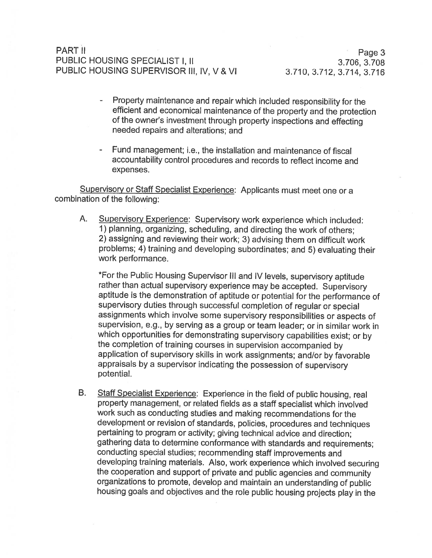# PART II PARTII PARTII PARTII PARTII PARTII PARTII PARTII PARTII PARTII PARTII PARTII PARTII PARTII PARTII PART PUBLIC HOUSING SPECIALIST I, II 3.706, 3.708 PUBLIC HOUSING SUPERVISOR Ill, IV, V

- Property maintenance and repair which included responsibility for the efficient and economical maintenance of the property and the protection of the owner's investment through property inspections and effecting needed repairs and alterations; and
- Fund management; i.e., the installation and maintenance of fiscal accountability control procedures and records to reflect income and expenses.

Supervisory or Staff Specialist Experience: Applicants must meet one or a combination of the following:

A. Supervisory Experience: Supervisory work experience which included: 1) <sup>p</sup>lanning, organizing, scheduling, and directing the work of others; 2) assigning and reviewing their work; 3) advising them on difficult work problems; 4) training and developing subordinates; and 5) evaluating their work performance.

\*For the Public Housing Supervisor III and IV levels, supervisory aptitude rather than actual supervisory experience may be accepted. Supervisory aptitude is the demonstration of aptitude or potential for the performance of supervisory duties through successful completion of regular or special assignments which involve some supervisory responsibilities or aspects of supervision, e.g., by serving as <sup>a</sup> group or team leader; or in similar work in which opportunities for demonstrating supervisory capabilities exist; or by the completion of training courses in supervision accompanied by application of supervisory skills in work assignments; and/or by favorable appraisals by <sup>a</sup> supervisor indicating the possession of supervisory potential.

B. Staff Specialist Experience: Experience in the field of public housing, real property management, or related fields as <sup>a</sup> staff specialist which involved work such as conducting studies and making recommendations for the development or revision of standards, policies, procedures and techniques pertaining to program or activity; <sup>g</sup>iving technical advice and direction; gathering data to determine conformance with standards and requirements; conducting special studies; recommending staff improvements and developing training materials. Also, work experience which involved securing the cooperation and support of private and public agencies and community organizations to promote, develop and maintain an understanding of public housing goals and objectives and the role public housing projects <sup>p</sup>lay in the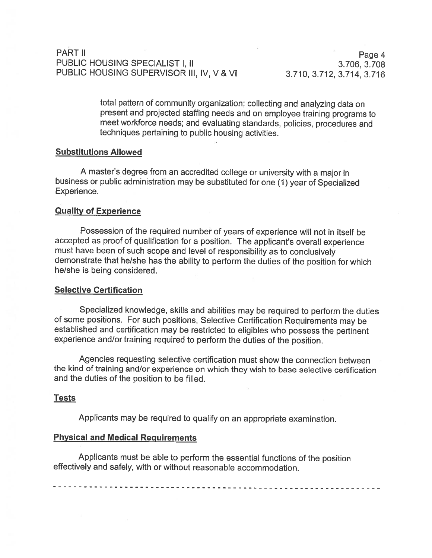# PARTII Page4 PUBLIC HOUSING SPECIALIST I, II 3.706, 3.708 PUBLIC HOUSING SUPERVISOR III, IV, V & VI 3.710, 3.712, 3.714, 3.716

total pattern of community organization; collecting and analyzing data on present and projected staffing needs and on employee training programs to meet workforce needs; and evaluating standards, policies, procedures and techniques pertaining to public housing activities.

### Substitutions Allowed

<sup>A</sup> master's degree from an accredited college or university with <sup>a</sup> major in business or public administration may be substituted for one (1) year of Specialized Experience.

### Quality of Experience

Possession of the required numbet of years of experience will not in itself be accepted as proof of qualification for <sup>a</sup> position. The applicant's overall experience must have been of such scope and level of responsibility as to conclusively demonstrate that he/she has the ability to perform the duties of the position for which he/she is being considered.

#### Selective Certification

Specialized knowledge, skills and abilities may be required to perform the duties of some positions. For such positions, Selective Certification Requirements may be established and certification may be restricted to eligibles who possess the pertinent experience and/or training required to perform the duties of the position.

Agencies requesting selective certification must show the connection between the kind of training and/or experience on which they wish to base selective certification and the duties of the position to be filled.

#### Tests

Applicants may be required to qualify on an appropriate examination.

#### Physical and Medical Requirements

Applicants must be able to perform the essential functions of the position effectively and safely, with or without reasonable accommodation.